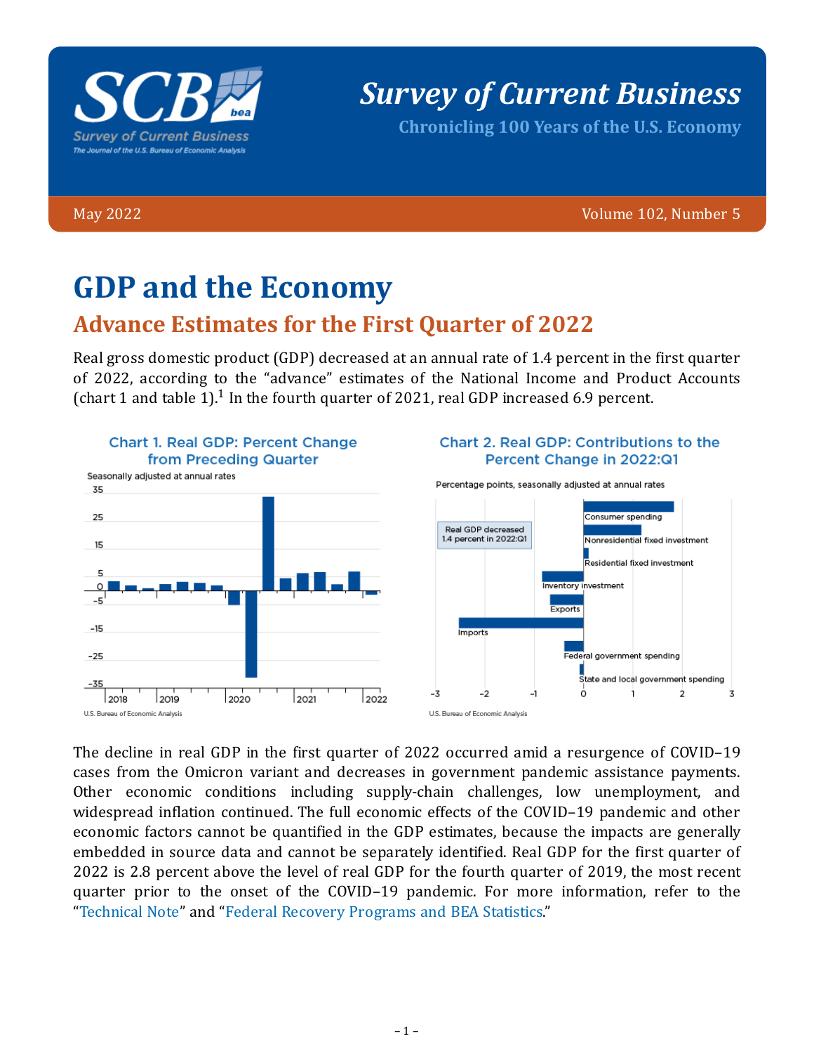

# *Survey of Current Business*

**Chronicling 100 Years of the U.S. Economy**

May 2022 Volume 102, Number 5

# **GDP and the Economy**

## **Advance Estimates for the First Quarter of 2022**

Real gross domestic product (GDP) decreased at an annual rate of 1.4 percent in the first quarter of 2022, according to the "advance" estimates of the National Income and Product Accounts (chart 1 and table  $1$ ).<sup>1</sup> In the fourth quarter of 2021, real GDP increased 6.9 percent.



#### Chart 2, Real GDP: Contributions to the Percent Change in 2022:Q1

Percentage points, seasonally adjusted at annual rates



The decline in real GDP in the first quarter of 2022 occurred amid a resurgence of COVID–19 cases from the Omicron variant and decreases in government pandemic assistance payments. Other economic conditions including supply-chain challenges, low unemployment, and widespread inflation continued. The full economic effects of the COVID–19 pandemic and other economic factors cannot be quantified in the GDP estimates, because the impacts are generally embedded in source data and cannot be separately identified. Real GDP for the first quarter of 2022 is 2.8 percent above the level of real GDP for the fourth quarter of 2019, the most recent quarter prior to the onset of the COVID–19 pandemic. For more information, refer to the "[Technical Note"](https://www.bea.gov/sites/default/files/2022-04/tech1q22_adv.pdf) and "[Federal Recovery Programs and BEA Statistics.](https://www.bea.gov/recovery)"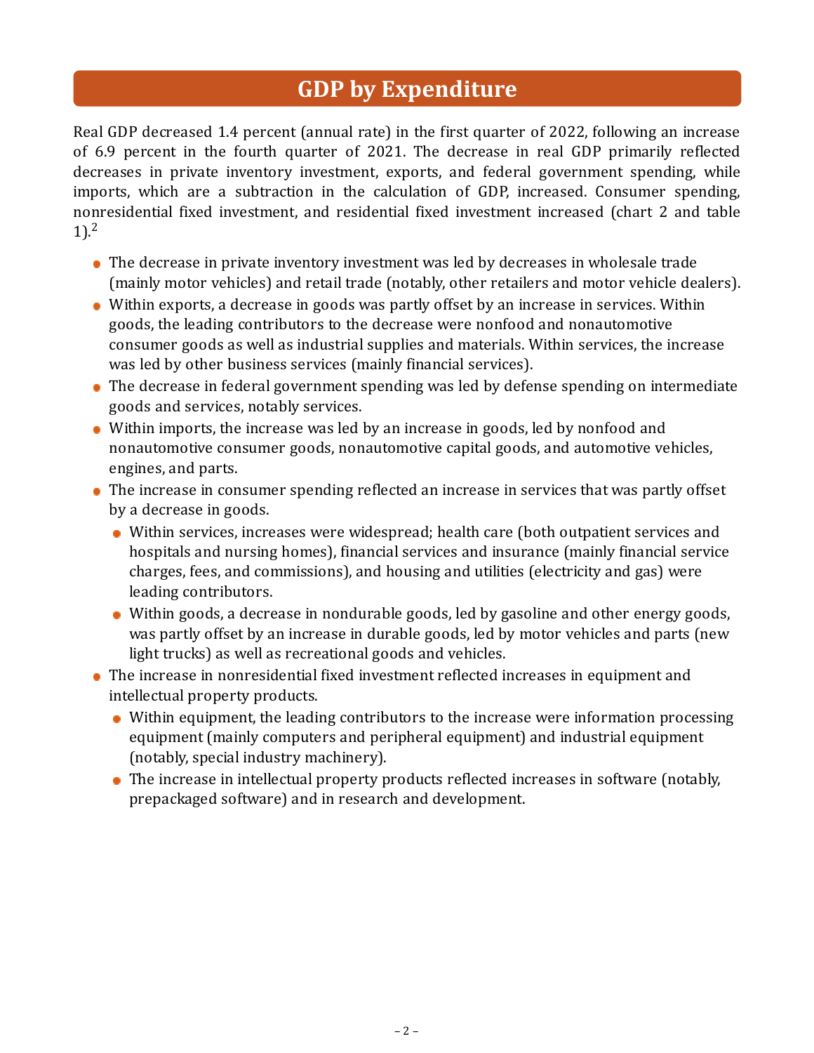## **GDP by Expenditure**

Real GDP decreased 1.4 percent (annual rate) in the first quarter of 2022, following an increase of 6.9 percent in the fourth quarter of 2021. The decrease in real GDP primarily reflected decreases in private inventory investment, exports, and federal government spending, while imports, which are a subtraction in the calculation of GDP, increased. Consumer spending, nonresidential fixed investment, and residential fixed investment increased (chart 2 and table 1). 2

- The decrease in private inventory investment was led by decreases in wholesale trade (mainly motor vehicles) and retail trade (notably, other retailers and motor vehicle dealers).
- Within exports, a decrease in goods was partly offset by an increase in services. Within goods, the leading contributors to the decrease were nonfood and nonautomotive consumer goods as well as industrial supplies and materials. Within services, the increase was led by other business services (mainly financial services).
- The decrease in federal government spending was led by defense spending on intermediate goods and services, notably services.
- Within imports, the increase was led by an increase in goods, led by nonfood and nonautomotive consumer goods, nonautomotive capital goods, and automotive vehicles, engines, and parts.
- The increase in consumer spending reflected an increase in services that was partly offset by a decrease in goods.
	- Within services, increases were widespread; health care (both outpatient services and hospitals and nursing homes), financial services and insurance (mainly financial service charges, fees, and commissions), and housing and utilities (electricity and gas) were leading contributors.
	- Within goods, a decrease in nondurable goods, led by gasoline and other energy goods, was partly offset by an increase in durable goods, led by motor vehicles and parts (new light trucks) as well as recreational goods and vehicles.
- The increase in nonresidential fixed investment reflected increases in equipment and intellectual property products.
	- Within equipment, the leading contributors to the increase were information processing equipment (mainly computers and peripheral equipment) and industrial equipment (notably, special industry machinery).
	- The increase in intellectual property products reflected increases in software (notably, prepackaged software) and in research and development.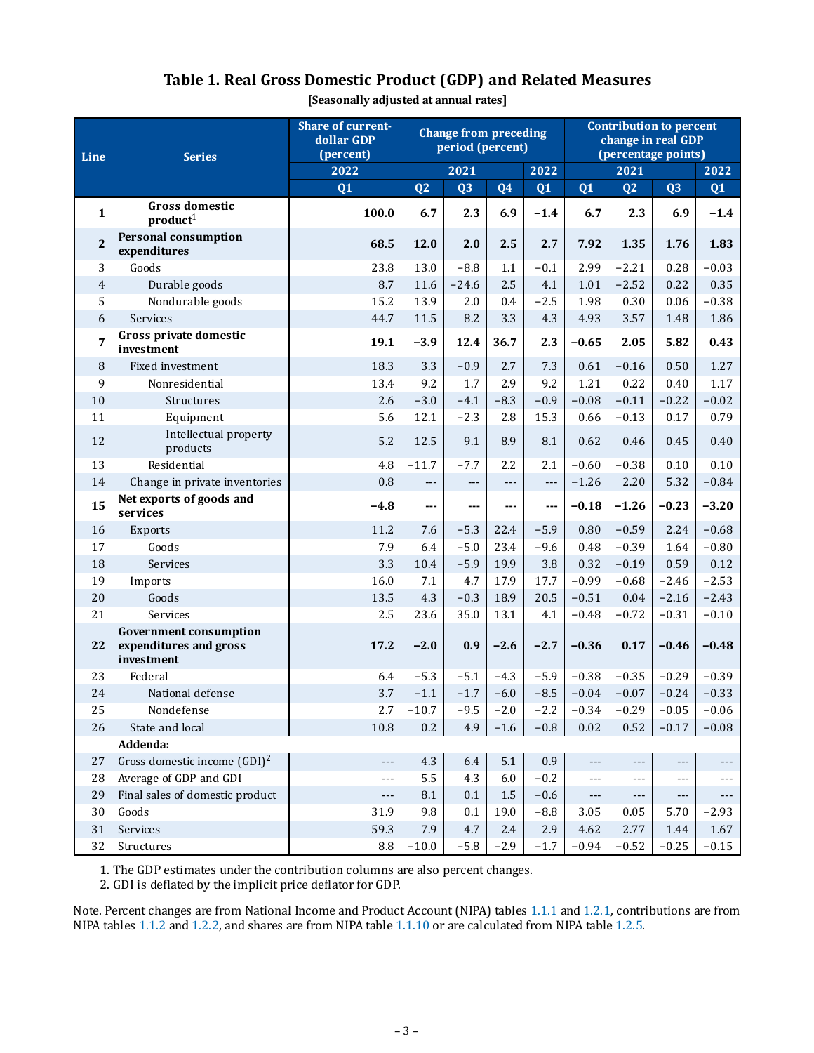| Line                    | <b>Share of current-</b><br><b>Change from preceding</b><br>dollar GDP<br>period (percent)<br>(percent)<br><b>Series</b> |        |         |                     |                     |        |                 | <b>Contribution to percent</b><br>change in real GDP<br>(percentage points)<br>2022 |                |         |  |  |  |
|-------------------------|--------------------------------------------------------------------------------------------------------------------------|--------|---------|---------------------|---------------------|--------|-----------------|-------------------------------------------------------------------------------------|----------------|---------|--|--|--|
|                         |                                                                                                                          | 2022   |         | 2021                | 2022                |        |                 | 2021                                                                                |                |         |  |  |  |
|                         |                                                                                                                          | Q1     | Q2      | $\overline{Q}3$     | Q <sub>4</sub>      | Q1     | $\overline{Q1}$ | Q2                                                                                  | Q3             | Q1      |  |  |  |
| $\mathbf{1}$            | Gross domestic<br>product <sup>1</sup>                                                                                   | 100.0  | 6.7     | 2.3                 | 6.9                 | $-1.4$ | 6.7             | 2.3                                                                                 | 6.9            | $-1.4$  |  |  |  |
| $\overline{\mathbf{2}}$ | <b>Personal consumption</b><br>expenditures                                                                              | 68.5   | 12.0    | 2.0                 | 2.5                 | 2.7    | 7.92            | 1.35                                                                                | 1.76           | 1.83    |  |  |  |
| 3                       | Goods                                                                                                                    | 23.8   | 13.0    | $-8.8$              | 1.1                 | $-0.1$ | 2.99            | $-2.21$                                                                             | 0.28           | $-0.03$ |  |  |  |
| $\boldsymbol{4}$        | Durable goods                                                                                                            | 8.7    | 11.6    | $-24.6$             | 2.5                 | 4.1    | 1.01            | $-2.52$                                                                             | 0.22           | 0.35    |  |  |  |
| 5                       | Nondurable goods                                                                                                         | 15.2   | 13.9    | 2.0                 | 0.4                 | $-2.5$ | 1.98            | 0.30                                                                                | 0.06           | $-0.38$ |  |  |  |
| 6                       | Services                                                                                                                 | 44.7   | 11.5    | 8.2                 | 3.3                 | 4.3    | 4.93            | 3.57                                                                                | 1.48           | 1.86    |  |  |  |
| $\overline{7}$          | Gross private domestic<br>investment                                                                                     | 19.1   | $-3.9$  | 12.4                | 36.7                | 2.3    | $-0.65$         | 2.05                                                                                | 5.82           | 0.43    |  |  |  |
| 8                       | Fixed investment                                                                                                         | 18.3   | 3.3     | $-0.9$              | 2.7                 | 7.3    | 0.61            | $-0.16$                                                                             | 0.50           | 1.27    |  |  |  |
| 9                       | Nonresidential                                                                                                           | 13.4   | 9.2     | 1.7                 | 2.9                 | 9.2    | 1.21            | 0.22                                                                                | 0.40           | 1.17    |  |  |  |
| 10                      | Structures                                                                                                               | 2.6    | $-3.0$  | $-4.1$              | $-8.3$              | $-0.9$ | $-0.08$         | $-0.11$                                                                             | $-0.22$        | $-0.02$ |  |  |  |
| 11                      | Equipment                                                                                                                | 5.6    | 12.1    | $-2.3$              | 2.8                 | 15.3   | 0.66            | $-0.13$                                                                             | 0.17           | 0.79    |  |  |  |
| 12                      | Intellectual property<br>products                                                                                        | 5.2    | 12.5    | 9.1                 | 8.9                 | 8.1    | 0.62            | 0.46                                                                                | 0.45           | 0.40    |  |  |  |
| 13                      | Residential                                                                                                              | 4.8    | $-11.7$ | $-7.7$              | 2.2                 | 2.1    | $-0.60$         | $-0.38$                                                                             | 0.10           | 0.10    |  |  |  |
| 14                      | Change in private inventories                                                                                            | 0.8    | ---     | $\qquad \qquad - -$ | $\qquad \qquad - -$ | $---$  | $-1.26$         | 2.20                                                                                | 5.32           | $-0.84$ |  |  |  |
| 15                      | Net exports of goods and<br>services                                                                                     | $-4.8$ | ---     | ---                 | ---                 | ---    | $-0.18$         | $-1.26$                                                                             | $-0.23$        | $-3.20$ |  |  |  |
| 16                      | <b>Exports</b>                                                                                                           | 11.2   | 7.6     | $-5.3$              | 22.4                | $-5.9$ | 0.80            | $-0.59$                                                                             | 2.24           | $-0.68$ |  |  |  |
| 17                      | Goods                                                                                                                    | 7.9    | 6.4     | $-5.0$              | 23.4                | $-9.6$ | 0.48            | $-0.39$                                                                             | 1.64           | $-0.80$ |  |  |  |
| 18                      | Services                                                                                                                 | 3.3    | 10.4    | $-5.9$              | 19.9                | 3.8    | 0.32            | $-0.19$                                                                             | 0.59           | 0.12    |  |  |  |
| 19                      | Imports                                                                                                                  | 16.0   | 7.1     | 4.7                 | 17.9                | 17.7   | $-0.99$         | $-0.68$                                                                             | $-2.46$        | $-2.53$ |  |  |  |
| 20                      | Goods                                                                                                                    | 13.5   | 4.3     | $-0.3$              | 18.9                | 20.5   | $-0.51$         | 0.04                                                                                | $-2.16$        | $-2.43$ |  |  |  |
| 21                      | Services                                                                                                                 | 2.5    | 23.6    | 35.0                | 13.1                | 4.1    | $-0.48$         | $-0.72$                                                                             | $-0.31$        | $-0.10$ |  |  |  |
| 22                      | <b>Government consumption</b><br>expenditures and gross<br>investment                                                    | 17.2   | $-2.0$  | 0.9                 | $-2.6$              | $-2.7$ | $-0.36$         | 0.17                                                                                | $-0.46$        | $-0.48$ |  |  |  |
| 23                      | Federal                                                                                                                  | 6.4    | $-5.3$  | $-5.1$              | $-4.3$              | $-5.9$ | $-0.38$         | $-0.35$                                                                             | $-0.29$        | $-0.39$ |  |  |  |
| 24                      | National defense                                                                                                         | 3.7    | $-1.1$  | $-1.7$              | $-6.0$              | $-8.5$ | $-0.04$         | $-0.07$                                                                             | $-0.24$        | $-0.33$ |  |  |  |
| 25                      | Nondefense                                                                                                               | 2.7    | $-10.7$ | $-9.5$              | $-2.0$              | $-2.2$ | $-0.34$         | $-0.29$                                                                             | $-0.05$        | $-0.06$ |  |  |  |
| 26                      | State and local                                                                                                          | 10.8   | $0.2\,$ | 4.9                 | $-1.6$              | $-0.8$ | 0.02            | 0.52                                                                                | $-0.17$        | $-0.08$ |  |  |  |
|                         | Addenda:                                                                                                                 |        |         |                     |                     |        |                 |                                                                                     |                |         |  |  |  |
| $27\,$                  | Gross domestic income (GDI) <sup>2</sup>                                                                                 | ---    | 4.3     | 6.4                 | 5.1                 | 0.9    | ---             | ---                                                                                 | ---            |         |  |  |  |
| 28                      | Average of GDP and GDI                                                                                                   | ---    | 5.5     | 4.3                 | 6.0                 | $-0.2$ | ---             |                                                                                     | $\overline{a}$ |         |  |  |  |
| 29                      | Final sales of domestic product                                                                                          | $---$  | 8.1     | 0.1                 | 1.5                 | $-0.6$ | ---             | ---                                                                                 | ---            | ---     |  |  |  |
| 30                      | Goods                                                                                                                    | 31.9   | 9.8     | $0.1\,$             | 19.0                | $-8.8$ | 3.05            | 0.05                                                                                | 5.70           | $-2.93$ |  |  |  |
| 31                      | Services                                                                                                                 | 59.3   | 7.9     | 4.7                 | 2.4                 | 2.9    | 4.62            | 2.77                                                                                | 1.44           | 1.67    |  |  |  |
| 32                      | Structures                                                                                                               | 8.8    | $-10.0$ | $-5.8$              | $-2.9$              | $-1.7$ | $-0.94$         | $-0.52$                                                                             | $-0.25$        | $-0.15$ |  |  |  |

### **Table 1. Real Gross Domestic Product (GDP) and Related Measures**

**[Seasonally adjusted at annual rates]**

1. The GDP estimates under the contribution columns are also percent changes.

2. GDI is deflated by the implicit price deflator for GDP.

Note. Percent changes are from National Income and Product Account (NIPA) tables [1.1.1](https://apps.bea.gov/iTable/iTable.cfm?reqid=19&step=3&isuri=1&nipa_table_list=1&categories=survey) and [1.2.1,](https://apps.bea.gov/iTable/iTable.cfm?reqid=19&step=3&isuri=1&nipa_table_list=15&categories=survey) contributions are from NIPA tables [1.1.2](https://apps.bea.gov/iTable/iTable.cfm?reqid=19&step=3&isuri=1&nipa_table_list=2&categories=survey) and [1.2.2,](https://apps.bea.gov/iTable/iTable.cfm?reqid=19&step=3&isuri=1&nipa_table_list=16&categories=survey) and shares are from NIPA table [1.1.10](https://apps.bea.gov/iTable/iTable.cfm?reqid=19&step=3&isuri=1&nipa_table_list=14&categories=survey) or are calculated from NIPA table [1.2.5.](https://apps.bea.gov/iTable/iTable.cfm?reqid=19&step=3&isuri=1&nipa_table_list=19&categories=survey)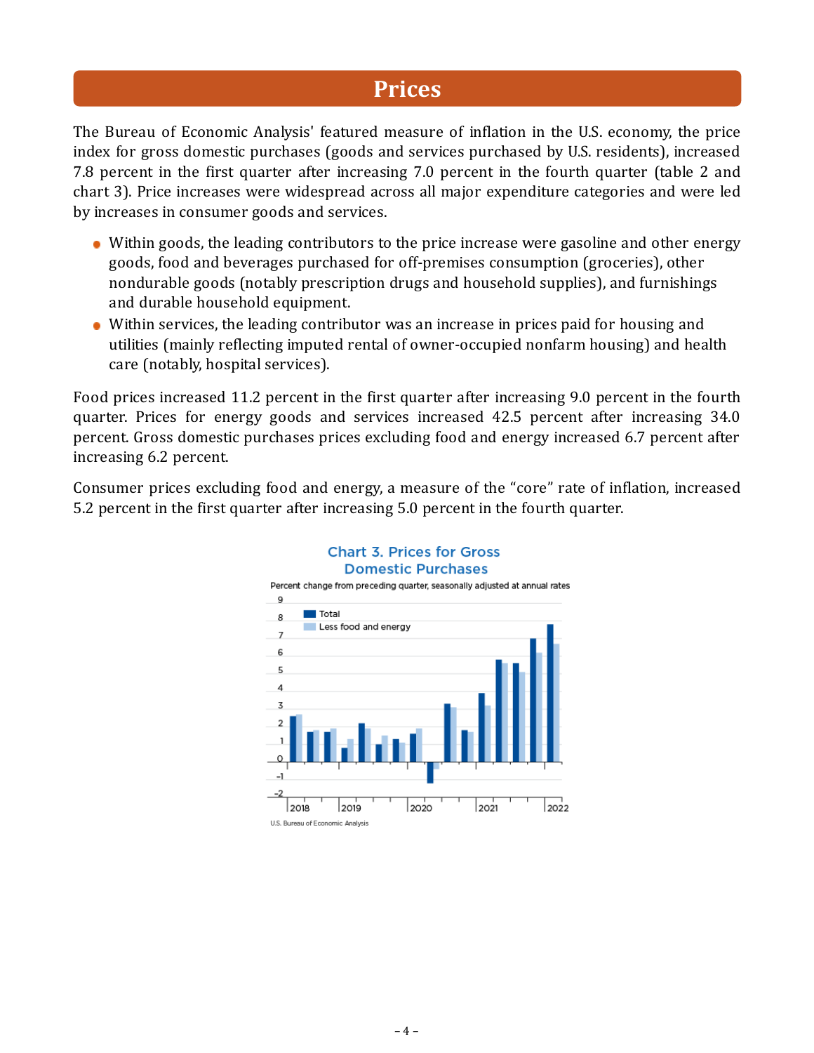## **Prices**

The Bureau of Economic Analysis' featured measure of inflation in the U.S. economy, the price index for gross domestic purchases (goods and services purchased by U.S. residents), increased 7.8 percent in the first quarter after increasing 7.0 percent in the fourth quarter (table 2 and chart 3). Price increases were widespread across all major expenditure categories and were led by increases in consumer goods and services.

- Within goods, the leading contributors to the price increase were gasoline and other energy goods, food and beverages purchased for off-premises consumption (groceries), other nondurable goods (notably prescription drugs and household supplies), and furnishings and durable household equipment.
- Within services, the leading contributor was an increase in prices paid for housing and utilities (mainly reflecting imputed rental of owner-occupied nonfarm housing) and health care (notably, hospital services).

Food prices increased 11.2 percent in the first quarter after increasing 9.0 percent in the fourth quarter. Prices for energy goods and services increased 42.5 percent after increasing 34.0 percent. Gross domestic purchases prices excluding food and energy increased 6.7 percent after increasing 6.2 percent.

Consumer prices excluding food and energy, a measure of the "core" rate of inflation, increased 5.2 percent in the first quarter after increasing 5.0 percent in the fourth quarter.



#### **Chart 3. Prices for Gross Domestic Purchases**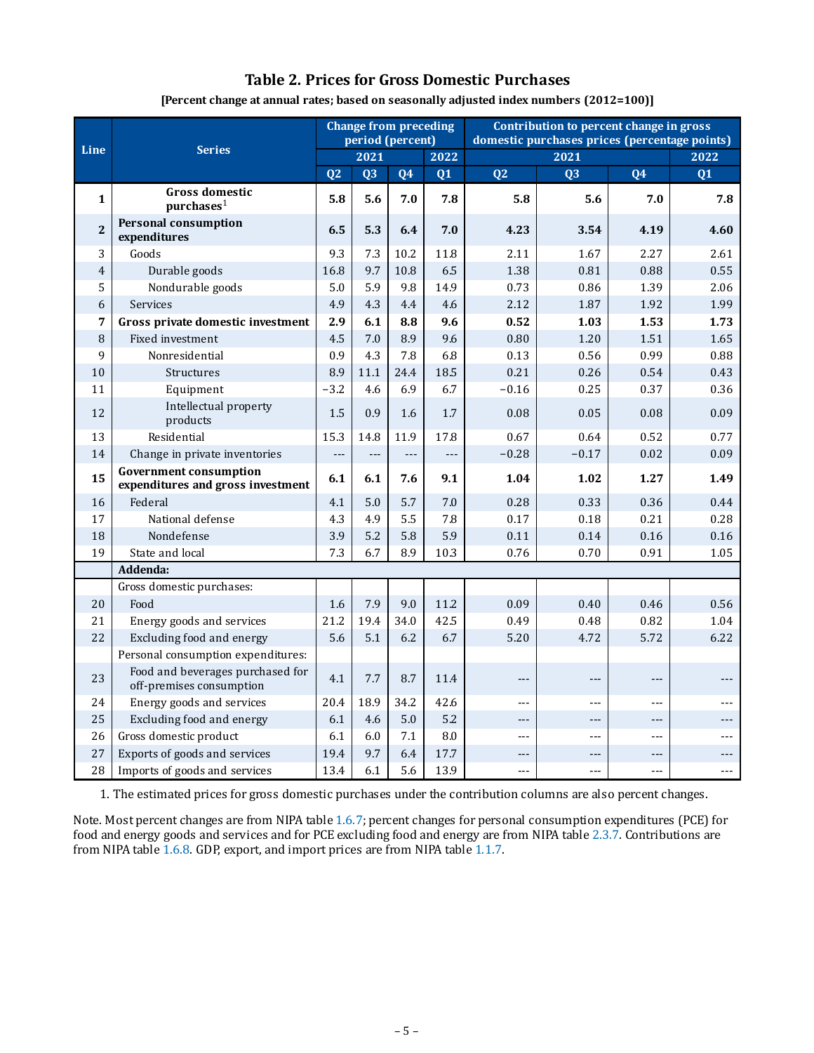#### **Table 2. Prices for Gross Domestic Purchases**

|                |                                                                    |                |                          | <b>Change from preceding</b><br>period (percent) |                     | Contribution to percent change in gross<br>domestic purchases prices (percentage points) |                 |                |         |  |  |
|----------------|--------------------------------------------------------------------|----------------|--------------------------|--------------------------------------------------|---------------------|------------------------------------------------------------------------------------------|-----------------|----------------|---------|--|--|
| Line           | <b>Series</b>                                                      | 2021           |                          |                                                  | 2022                | 2021                                                                                     |                 |                | 2022    |  |  |
|                |                                                                    | Q <sub>2</sub> | Q3                       | 04                                               | Q1                  | Q <sub>2</sub>                                                                           | $\overline{Q}3$ | Q <sub>4</sub> | Q1      |  |  |
| $\mathbf{1}$   | <b>Gross domestic</b><br>$pure$ hases <sup>1</sup>                 | 5.8            | 5.6                      | 7.0                                              | 7.8                 | 5.8                                                                                      | 5.6             | 7.0            | 7.8     |  |  |
| $\overline{2}$ | Personal consumption<br>expenditures                               | 6.5            | 5.3                      | 6.4                                              | 7.0                 | 4.23                                                                                     | 3.54            | 4.19           | 4.60    |  |  |
| 3              | Goods                                                              | 9.3            | 7.3                      | 10.2                                             | 11.8                | 2.11                                                                                     | 1.67            | 2.27           | 2.61    |  |  |
| $\overline{4}$ | Durable goods                                                      | 16.8           | 9.7                      | 10.8                                             | 6.5                 | 1.38                                                                                     | 0.81            | 0.88           | 0.55    |  |  |
| 5              | Nondurable goods                                                   | 5.0            | 5.9                      | 9.8                                              | 14.9                | 0.73                                                                                     | 0.86            | 1.39           | 2.06    |  |  |
| 6              | Services                                                           | 4.9            | 4.3                      | 4.4                                              | 4.6                 | 2.12                                                                                     | 1.87            | 1.92           | 1.99    |  |  |
| 7              | Gross private domestic investment                                  | 2.9            | 6.1                      | 8.8                                              | 9.6                 | 0.52                                                                                     | 1.03            | 1.53           | 1.73    |  |  |
| 8              | Fixed investment                                                   | 4.5            | $7.0\,$                  | 8.9                                              | 9.6                 | 0.80                                                                                     | 1.20            | 1.51           | 1.65    |  |  |
| 9              | Nonresidential                                                     | 0.9            | 4.3                      | 7.8                                              | 6.8                 | 0.13                                                                                     | 0.56            | 0.99           | 0.88    |  |  |
| 10             | Structures                                                         | 8.9            | 11.1                     | 24.4                                             | 18.5                | 0.21                                                                                     | 0.26            | 0.54           | 0.43    |  |  |
| 11             | Equipment                                                          | $-3.2$         | 4.6                      | 6.9                                              | 6.7                 | $-0.16$                                                                                  | 0.25            | 0.37           | 0.36    |  |  |
| 12             | Intellectual property<br>products                                  | 1.5            | 0.9                      | 1.6                                              | 1.7                 | 0.08                                                                                     | 0.05            | 0.08           | 0.09    |  |  |
| 13             | Residential                                                        | 15.3           | 14.8                     | 11.9                                             | 17.8                | 0.67                                                                                     | 0.64            | 0.52           | 0.77    |  |  |
| 14             | Change in private inventories                                      | $---$          | $\overline{\phantom{a}}$ | $\overline{\phantom{a}}$                         | $\qquad \qquad - -$ | $-0.28$                                                                                  | $-0.17$         | 0.02           | 0.09    |  |  |
| 15             | <b>Government consumption</b><br>expenditures and gross investment | 6.1            | 6.1                      | 7.6                                              | 9.1                 | 1.04                                                                                     | 1.02            | 1.27           | 1.49    |  |  |
| 16             | Federal                                                            | 4.1            | 5.0                      | 5.7                                              | 7.0                 | 0.28                                                                                     | 0.33            | 0.36           | 0.44    |  |  |
| 17             | National defense                                                   | 4.3            | 4.9                      | 5.5                                              | 7.8                 | 0.17                                                                                     | 0.18            | 0.21           | 0.28    |  |  |
| 18             | Nondefense                                                         | 3.9            | 5.2                      | 5.8                                              | 5.9                 | 0.11                                                                                     | 0.14            | 0.16           | 0.16    |  |  |
| 19             | State and local                                                    | 7.3            | 6.7                      | 8.9                                              | 10.3                | 0.76                                                                                     | 0.70            | 0.91           | 1.05    |  |  |
|                | Addenda:                                                           |                |                          |                                                  |                     |                                                                                          |                 |                |         |  |  |
|                | Gross domestic purchases:                                          |                |                          |                                                  |                     |                                                                                          |                 |                |         |  |  |
| 20             | Food                                                               | 1.6            | 7.9                      | 9.0                                              | 11.2                | 0.09                                                                                     | 0.40            | 0.46           | 0.56    |  |  |
| 21             | Energy goods and services                                          | 21.2           | 19.4                     | 34.0                                             | 42.5                | 0.49                                                                                     | 0.48            | 0.82           | 1.04    |  |  |
| 22             | Excluding food and energy                                          | 5.6            | 5.1                      | 6.2                                              | 6.7                 | 5.20                                                                                     | 4.72            | 5.72           | 6.22    |  |  |
|                | Personal consumption expenditures:                                 |                |                          |                                                  |                     |                                                                                          |                 |                |         |  |  |
| 23             | Food and beverages purchased for<br>off-premises consumption       | 4.1            | 7.7                      | 8.7                                              | 11.4                | $---$                                                                                    | $---$           | $---$          | $---$   |  |  |
| 24             | Energy goods and services                                          | 20.4           | 18.9                     | 34.2                                             | 42.6                | $- - -$                                                                                  | $-$             | $\overline{a}$ |         |  |  |
| 25             | Excluding food and energy                                          | 6.1            | 4.6                      | $5.0\,$                                          | 5.2                 | ---                                                                                      | ---             | $---$          |         |  |  |
| 26             | Gross domestic product                                             | 6.1            | 6.0                      | 7.1                                              | 8.0                 | $- - -$                                                                                  | $-$             | $---$          | $- - -$ |  |  |
| 27             | Exports of goods and services                                      | 19.4           | 9.7                      | 6.4                                              | 17.7                | ---                                                                                      | $---$           | $---$          |         |  |  |
| 28             | Imports of goods and services                                      | 13.4           | 6.1                      | 5.6                                              | 13.9                | ---                                                                                      | ---             | ---            |         |  |  |

**[Percent change at annual rates; based on seasonally adjusted index numbers (2012=100)]**

1. The estimated prices for gross domestic purchases under the contribution columns are also percent changes.

Note. Most percent changes are from NIPA table [1.6.7](https://apps.bea.gov/iTable/iTable.cfm?reqid=19&step=3&isuri=1&nipa_table_list=38&categories=survey); percent changes for personal consumption expenditures (PCE) for food and energy goods and services and for PCE excluding food and energy are from NIPA table [2.3.7.](https://apps.bea.gov/iTable/iTable.cfm?reqid=19&step=3&isuri=1&nipa_table_list=67&categories=survey) Contributions are from NIPA table [1.6.8.](https://apps.bea.gov/iTable/iTable.cfm?reqid=19&step=3&isuri=1&nipa_table_list=39&categories=survey) GDP, export, and import prices are from NIPA table [1.1.7.](https://apps.bea.gov/iTable/iTable.cfm?reqid=19&step=3&isuri=1&nipa_table_list=11&categories=survey)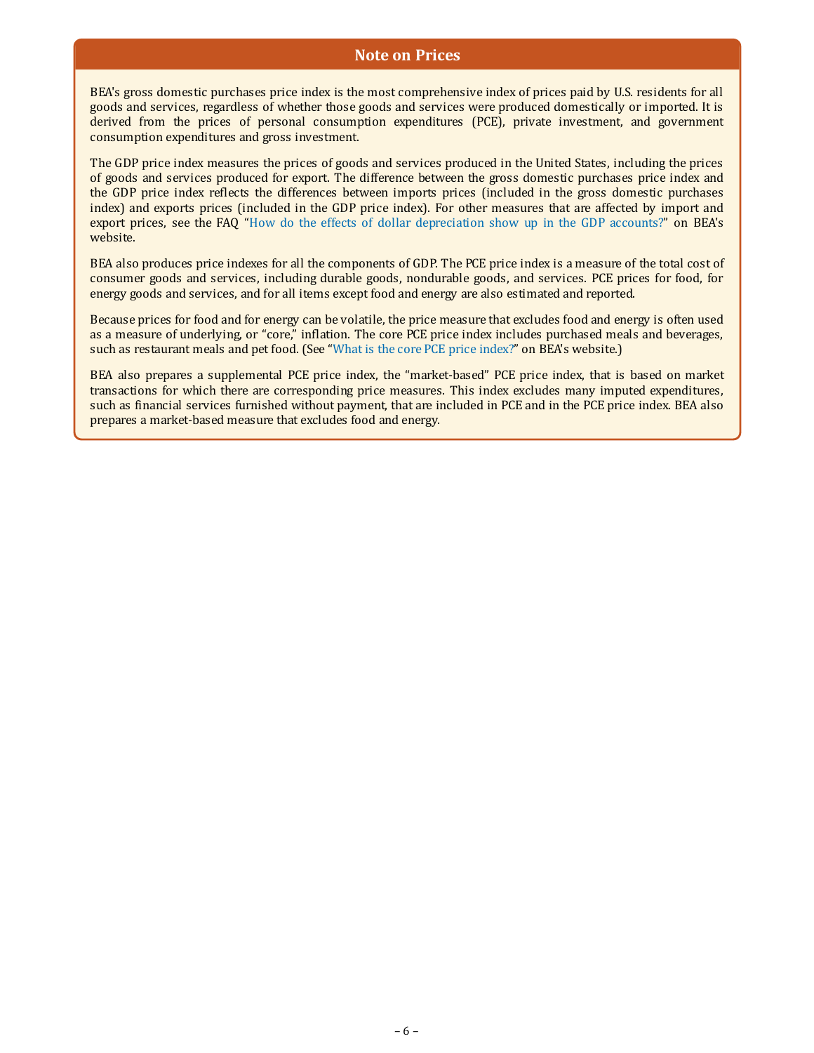#### **Note on Prices**

BEA's gross domestic purchases price index is the most comprehensive index of prices paid by U.S. residents for all goods and services, regardless of whether those goods and services were produced domestically or imported. It is derived from the prices of personal consumption expenditures (PCE), private investment, and government consumption expenditures and gross investment.

The GDP price index measures the prices of goods and services produced in the United States, including the prices of goods and services produced for export. The difference between the gross domestic purchases price index and the GDP price index reflects the differences between imports prices (included in the gross domestic purchases index) and exports prices (included in the GDP price index). For other measures that are affected by import and export prices, see the FAQ "[How do the effects of dollar depreciation show up in the GDP accounts?](https://www.bea.gov/help/faq/498)" on BEA's website.

BEA also produces price indexes for all the components of GDP. The PCE price index is a measure of the total cost of consumer goods and services, including durable goods, nondurable goods, and services. PCE prices for food, for energy goods and services, and for all items except food and energy are also estimated and reported.

Because prices for food and for energy can be volatile, the price measure that excludes food and energy is often used as a measure of underlying, or "core," inflation. The core PCE price index includes purchased meals and beverages, such as restaurant meals and pet food. (See ["What is the core PCE price index?"](https://www.bea.gov/help/faq/518) on BEA's website.)

BEA also prepares a supplemental PCE price index, the "market-based" PCE price index, that is based on market transactions for which there are corresponding price measures. This index excludes many imputed expenditures, such as financial services furnished without payment, that are included in PCE and in the PCE price index. BEA also prepares a market-based measure that excludes food and energy.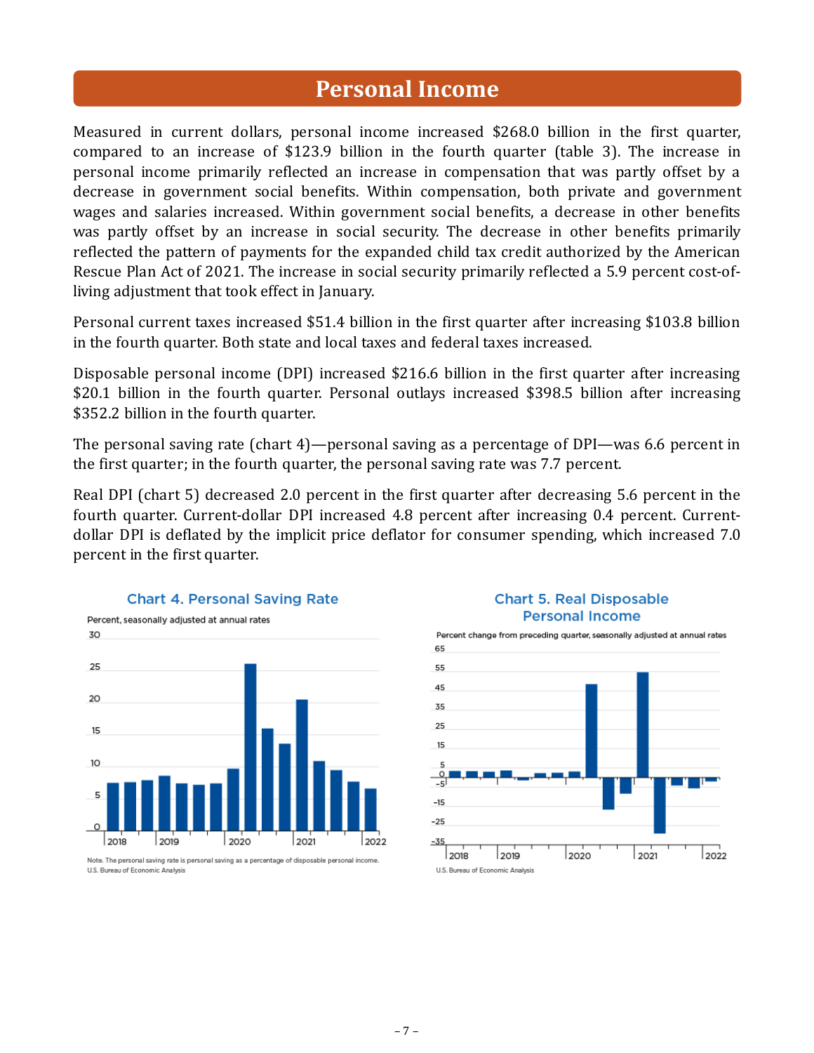## **Personal Income**

Measured in current dollars, personal income increased \$268.0 billion in the first quarter, compared to an increase of \$123.9 billion in the fourth quarter (table 3). The increase in personal income primarily reflected an increase in compensation that was partly offset by a decrease in government social benefits. Within compensation, both private and government wages and salaries increased. Within government social benefits, a decrease in other benefits was partly offset by an increase in social security. The decrease in other benefits primarily reflected the pattern of payments for the expanded child tax credit authorized by the American Rescue Plan Act of 2021. The increase in social security primarily reflected a 5.9 percent cost-ofliving adjustment that took effect in January.

Personal current taxes increased \$51.4 billion in the first quarter after increasing \$103.8 billion in the fourth quarter. Both state and local taxes and federal taxes increased.

Disposable personal income (DPI) increased \$216.6 billion in the first quarter after increasing \$20.1 billion in the fourth quarter. Personal outlays increased \$398.5 billion after increasing \$352.2 billion in the fourth quarter.

The personal saving rate (chart 4)—personal saving as a percentage of DPI—was 6.6 percent in the first quarter; in the fourth quarter, the personal saving rate was 7.7 percent.

Real DPI (chart 5) decreased 2.0 percent in the first quarter after decreasing 5.6 percent in the fourth quarter. Current-dollar DPI increased 4.8 percent after increasing 0.4 percent. Currentdollar DPI is deflated by the implicit price deflator for consumer spending, which increased 7.0 percent in the first quarter.



Note. The personal saving rate is personal saving as a percentage of disposable personal income. U.S. Bureau of Economic Analysis



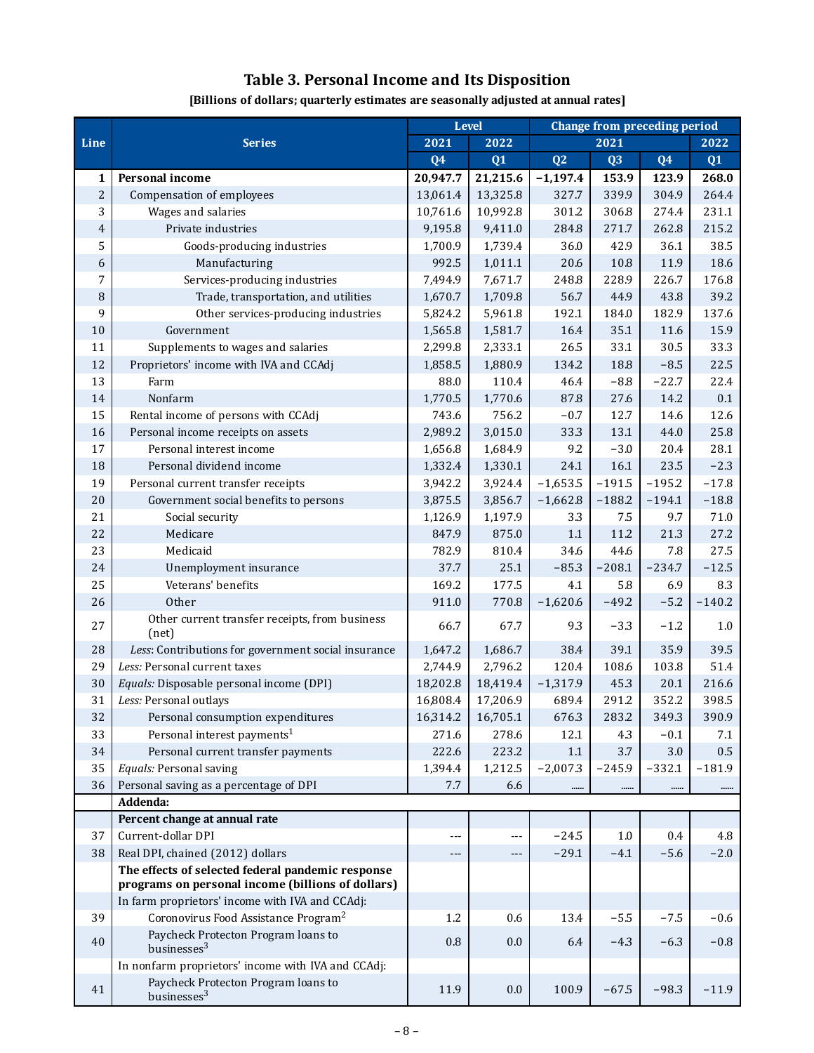## **Table 3. Personal Income and Its Disposition**

| [Billions of dollars; quarterly estimates are seasonally adjusted at annual rates] |  |  |
|------------------------------------------------------------------------------------|--|--|
|------------------------------------------------------------------------------------|--|--|

|                |                                                                |                | <b>Level</b>        | Change from preceding period |                |                |          |  |
|----------------|----------------------------------------------------------------|----------------|---------------------|------------------------------|----------------|----------------|----------|--|
| Line           | <b>Series</b>                                                  |                | 2021<br>2022        |                              | 2021           |                |          |  |
|                |                                                                | Q <sub>4</sub> | Q1                  | Q2                           | Q <sub>3</sub> | Q <sub>4</sub> | Q1       |  |
| 1              | Personal income                                                | 20,947.7       | 21,215.6            | $-1,197.4$                   | 153.9          | 123.9          | 268.0    |  |
| $\overline{c}$ | Compensation of employees                                      | 13,061.4       | 13,325.8            | 327.7                        | 339.9          | 304.9          | 264.4    |  |
| 3              | Wages and salaries                                             | 10,761.6       | 10,992.8            | 301.2                        | 306.8          | 274.4          | 231.1    |  |
| $\overline{4}$ | Private industries                                             | 9,195.8        | 9,411.0             | 284.8                        | 271.7          | 262.8          | 215.2    |  |
| 5              | Goods-producing industries                                     | 1,700.9        | 1,739.4             | 36.0                         | 42.9           | 36.1           | 38.5     |  |
| 6              | Manufacturing                                                  | 992.5          | 1,011.1             | 20.6                         | 10.8           | 11.9           | 18.6     |  |
| 7              | Services-producing industries                                  | 7,494.9        | 7,671.7             | 248.8                        | 228.9          | 226.7          | 176.8    |  |
| 8              | Trade, transportation, and utilities                           | 1,670.7        | 1,709.8             | 56.7                         | 44.9           | 43.8           | 39.2     |  |
| 9              | Other services-producing industries                            | 5,824.2        | 5,961.8             | 192.1                        | 184.0          | 182.9          | 137.6    |  |
| $10$           | Government                                                     | 1,565.8        | 1,581.7             | 16.4                         | 35.1           | 11.6           | 15.9     |  |
| 11             | Supplements to wages and salaries                              | 2,299.8        | 2,333.1             | 26.5                         | 33.1           | 30.5           | 33.3     |  |
| 12             | Proprietors' income with IVA and CCAdj                         | 1,858.5        | 1,880.9             | 134.2                        | 18.8           | $-8.5$         | 22.5     |  |
| 13             | Farm                                                           | 88.0           | 110.4               | 46.4                         | $-8.8$         | $-22.7$        | 22.4     |  |
| 14             | Nonfarm                                                        | 1,770.5        | 1,770.6             | 87.8                         | 27.6           | 14.2           | 0.1      |  |
| 15             | Rental income of persons with CCAdj                            | 743.6          | 756.2               | $-0.7$                       | 12.7           | 14.6           | 12.6     |  |
| 16             | Personal income receipts on assets                             | 2,989.2        | 3,015.0             | 33.3                         | 13.1           | 44.0           | 25.8     |  |
| 17             | Personal interest income                                       | 1,656.8        | 1,684.9             | 9.2                          | $-3.0$         | 20.4           | 28.1     |  |
| 18             | Personal dividend income                                       | 1,332.4        | 1,330.1             | 24.1                         | 16.1           | 23.5           | $-2.3$   |  |
| 19             | Personal current transfer receipts                             | 3,942.2        | 3,924.4             | $-1,653.5$                   | $-191.5$       | $-195.2$       | $-17.8$  |  |
| $20\,$         | Government social benefits to persons                          | 3,875.5        | 3,856.7             | $-1,662.8$                   | $-188.2$       | $-194.1$       | $-18.8$  |  |
| 21             | Social security                                                | 1,126.9        | 1,197.9             | 3.3                          | 7.5            | 9.7            | 71.0     |  |
| 22             | Medicare                                                       | 847.9          | 875.0               | 1.1                          | 11.2           | 21.3           | 27.2     |  |
| 23             | Medicaid                                                       | 782.9          | 810.4               | 34.6                         | 44.6           | 7.8            | 27.5     |  |
| 24             | Unemployment insurance                                         | 37.7           | 25.1                | $-85.3$                      | $-208.1$       | $-234.7$       | $-12.5$  |  |
| 25             | Veterans' benefits                                             | 169.2          | 177.5               | 4.1                          | 5.8            | 6.9            | 8.3      |  |
| 26             | Other                                                          | 911.0          | 770.8               | $-1,620.6$                   | $-49.2$        | $-5.2$         | $-140.2$ |  |
| 27             | Other current transfer receipts, from business<br>(net)        | 66.7           | 67.7                | 9.3                          | $-3.3$         | $-1.2$         | 1.0      |  |
| 28             | Less: Contributions for government social insurance            | 1,647.2        | 1,686.7             | 38.4                         | 39.1           | 35.9           | 39.5     |  |
| 29             | Less: Personal current taxes                                   | 2,744.9        | 2,796.2             | 120.4                        | 108.6          | 103.8          | 51.4     |  |
| 30             | Equals: Disposable personal income (DPI)                       | 18,202.8       | 18,419.4            | $-1,317.9$                   | 45.3           | 20.1           | 216.6    |  |
| 31             | Less: Personal outlays                                         | 16,808.4       | 17,206.9            | 689.4                        | 291.2          | 352.2          | 398.5    |  |
| 32             | Personal consumption expenditures                              | 16,314.2       | 16,705.1            | 676.3                        | 283.2          | 349.3          | 390.9    |  |
| 33             | Personal interest payments <sup>1</sup>                        | 271.6          | 278.6               | 12.1                         | 4.3            | $-0.1$         | 7.1      |  |
| 34             | Personal current transfer payments                             | 222.6          | 223.2               | 1.1                          | 3.7            | $3.0\,$        | $0.5\,$  |  |
| 35             | Equals: Personal saving                                        | 1,394.4        | 1,212.5             | $-2,007.3$                   | $-245.9$       | $-332.1$       | $-181.9$ |  |
| 36             | Personal saving as a percentage of DPI                         | 7.7            | 6.6                 |                              |                |                |          |  |
|                | Addenda:                                                       |                |                     |                              |                |                |          |  |
|                | Percent change at annual rate                                  |                |                     |                              |                |                |          |  |
| 37             | Current-dollar DPI                                             | ---            | ---                 | $-24.5$                      | 1.0            | 0.4            | 4.8      |  |
| 38             | Real DPI, chained (2012) dollars                               | $---$          | $\qquad \qquad - -$ | $-29.1$                      | $-4.1$         | $-5.6$         | $-2.0$   |  |
|                | The effects of selected federal pandemic response              |                |                     |                              |                |                |          |  |
|                | programs on personal income (billions of dollars)              |                |                     |                              |                |                |          |  |
|                | In farm proprietors' income with IVA and CCAdj:                |                |                     |                              |                |                |          |  |
| 39             | Coronovirus Food Assistance Program <sup>2</sup>               | 1.2            | 0.6                 | 13.4                         | $-5.5$         | $-7.5$         | $-0.6$   |  |
| 40             | Paycheck Protecton Program loans to<br>businesses <sup>3</sup> | 0.8            | 0.0                 | 6.4                          | $-4.3$         | $-6.3$         | $-0.8$   |  |
|                | In nonfarm proprietors' income with IVA and CCAdj:             |                |                     |                              |                |                |          |  |
| 41             | Paycheck Protecton Program loans to<br>businesses <sup>3</sup> | 11.9           | 0.0                 | 100.9                        | $-67.5$        | $-98.3$        | $-11.9$  |  |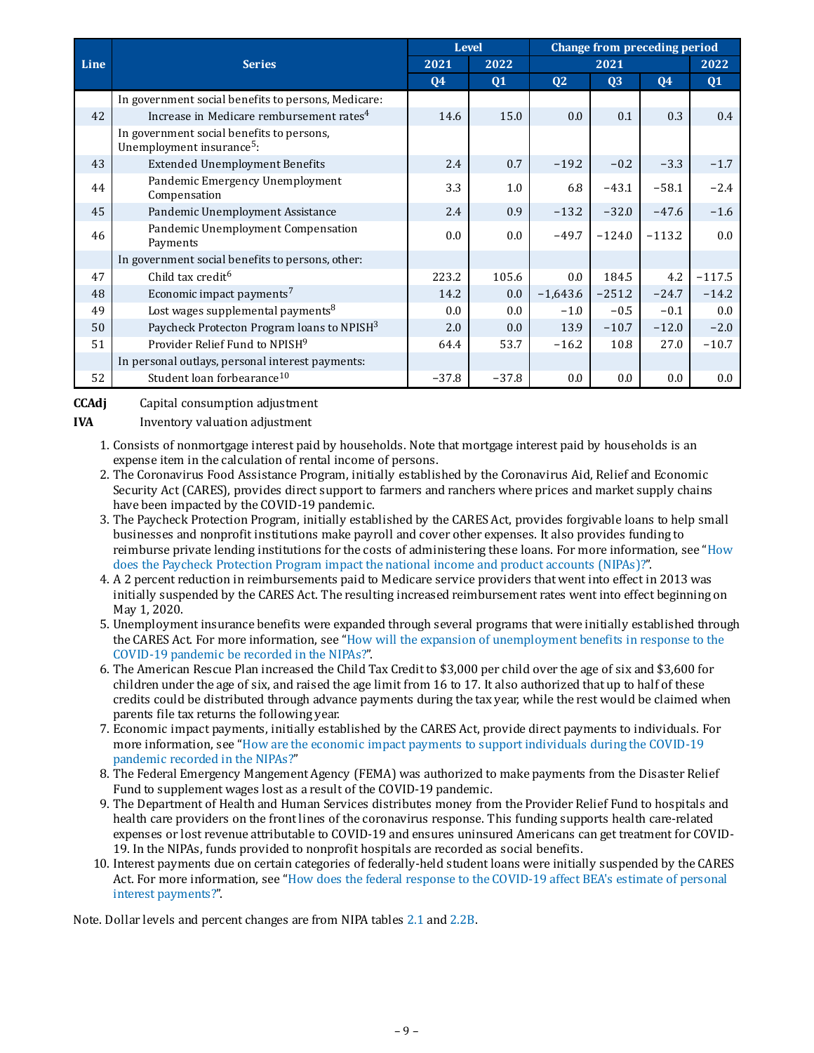|             |                                                                                    | <b>Level</b>  |              | Change from preceding period |                |                |          |  |
|-------------|------------------------------------------------------------------------------------|---------------|--------------|------------------------------|----------------|----------------|----------|--|
| <b>Line</b> | <b>Series</b>                                                                      |               | 2022<br>2021 |                              | 2021           |                |          |  |
|             |                                                                                    | <b>Q4</b>     | <b>Q1</b>    | Q <sub>2</sub>               | Q <sub>3</sub> | Q <sub>4</sub> | Q1       |  |
|             | In government social benefits to persons, Medicare:                                |               |              |                              |                |                |          |  |
| 42          | Increase in Medicare rembursement rates <sup>4</sup>                               | 14.6          | 15.0         | 0.0                          | 0.1            | 0.3            | 0.4      |  |
|             | In government social benefits to persons,<br>Unemployment insurance <sup>5</sup> : |               |              |                              |                |                |          |  |
| 43          | <b>Extended Unemployment Benefits</b>                                              | 2.4           | 0.7          | $-19.2$                      | $-0.2$         | $-3.3$         | $-1.7$   |  |
| 44          | Pandemic Emergency Unemployment<br>Compensation                                    | 3.3           | 1.0          | 6.8                          | $-43.1$        | $-58.1$        | $-2.4$   |  |
| 45          | Pandemic Unemployment Assistance                                                   | 2.4           | 0.9          | $-13.2$                      | $-32.0$        | $-47.6$        | $-1.6$   |  |
| 46          | Pandemic Unemployment Compensation<br>Payments                                     | $0.0^{\circ}$ | 0.0          | $-49.7$                      | $-124.0$       | $-113.2$       | 0.0      |  |
|             | In government social benefits to persons, other:                                   |               |              |                              |                |                |          |  |
| 47          | Child tax credit <sup>6</sup>                                                      | 223.2         | 105.6        | 0.0                          | 184.5          | 4.2            | $-117.5$ |  |
| 48          | Economic impact payments <sup>7</sup>                                              | 14.2          | 0.0          | $-1,643.6$                   | $-251.2$       | $-24.7$        | $-14.2$  |  |
| 49          | Lost wages supplemental payments <sup>8</sup>                                      | 0.0           | 0.0          | $-1.0$                       | $-0.5$         | $-0.1$         | 0.0      |  |
| 50          | Paycheck Protecton Program loans to NPISH <sup>3</sup>                             | 2.0           | 0.0          | 13.9                         | $-10.7$        | $-12.0$        | $-2.0$   |  |
| 51          | Provider Relief Fund to NPISH <sup>9</sup>                                         | 64.4          | 53.7         | $-16.2$                      | 10.8           | 27.0           | $-10.7$  |  |
|             | In personal outlays, personal interest payments:                                   |               |              |                              |                |                |          |  |
| 52          | Student loan forbearance <sup>10</sup>                                             | $-37.8$       | $-37.8$      | 0.0                          | 0.0            | 0.0            | $0.0\,$  |  |

**CCAdj** Capital consumption adjustment

**IVA** Inventory valuation adjustment

- 1. Consists of nonmortgage interest paid by households. Note that mortgage interest paid by households is an expense item in the calculation of rental income of persons.
- 2. The Coronavirus Food Assistance Program, initially established by the Coronavirus Aid, Relief and Economic Security Act (CARES), provides direct support to farmers and ranchers where prices and market supply chains have been impacted by the COVID-19 pandemic.
- 3. The Paycheck Protection Program, initially established by the CARES Act, provides forgivable loans to help small businesses and nonprofit institutions make payroll and cover other expenses. It also provides funding to [reimburse private lending institutions for the costs of administering these loans. For more information, see "How](https://www.bea.gov/help/faq/1408) does the Paycheck Protection Program impact the national income and product accounts (NIPAs)?".
- 4. A 2 percent reduction in reimbursements paid to Medicare service providers that went into effect in 2013 was initially suspended by the CARES Act. The resulting increased reimbursement rates went into effect beginning on May 1, 2020.
- 5. Unemployment insurance benefits were expanded through several programs that were initially established through [the CARES Act. For more information, see "How will the expansion of unemployment benefits in response to the](https://www.bea.gov/help/faq/1415) COVID-19 pandemic be recorded in the NIPAs?".
- 6. The American Rescue Plan increased the Child Tax Credit to \$3,000 per child over the age of six and \$3,600 for children under the age of six, and raised the age limit from 16 to 17. It also authorized that up to half of these credits could be distributed through advance payments during the tax year, while the rest would be claimed when parents file tax returns the following year.
- 7. Economic impact payments, initially established by the CARES Act, provide direct payments to individuals. For [more information, see "How are the economic impact payments to support individuals during the COVID-19](https://www.bea.gov/help/faq/1409) pandemic recorded in the NIPAs?"
- 8. The Federal Emergency Mangement Agency (FEMA) was authorized to make payments from the Disaster Relief Fund to supplement wages lost as a result of the COVID-19 pandemic.
- 9. The Department of Health and Human Services distributes money from the Provider Relief Fund to hospitals and health care providers on the front lines of the coronavirus response. This funding supports health care-related expenses or lost revenue attributable to COVID-19 and ensures uninsured Americans can get treatment for COVID-19. In the NIPAs, funds provided to nonprofit hospitals are recorded as social benefits.
- 10. Interest payments due on certain categories of federally-held student loans were initially suspended by the CARES [Act. For more information, see "How does the federal response to the COVID-19 affect BEA's estimate of personal](https://www.bea.gov/help/faq/1407) interest payments?".

Note. Dollar levels and percent changes are from NIPA tables [2.1](https://apps.bea.gov/iTable/iTable.cfm?reqid=19&step=3&isuri=1&nipa_table_list=58&categories=survey) and [2.2B.](https://apps.bea.gov/iTable/iTable.cfm?reqid=19&step=3&isuri=1&nipa_table_list=60&categories=survey)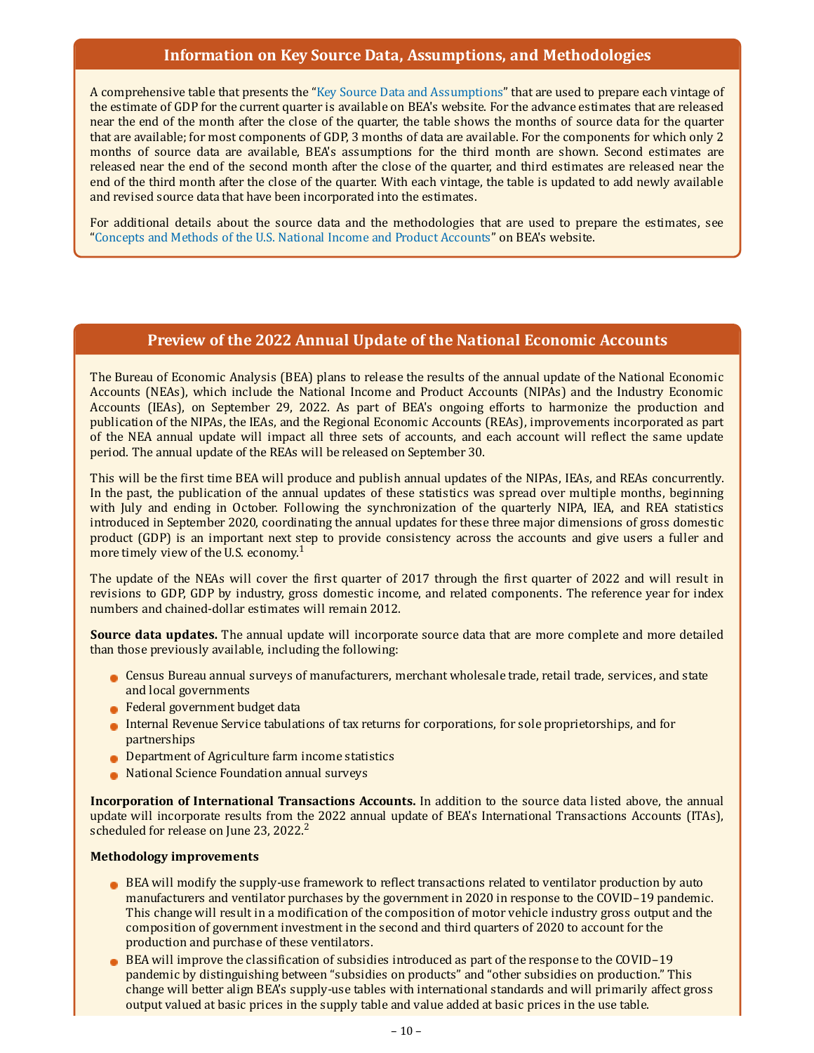#### **Information on Key Source Data, Assumptions, and Methodologies**

A comprehensive table that presents the ["Key Source Data and Assumptions"](https://www.bea.gov/data/gdp/gross-domestic-product) that are used to prepare each vintage of the estimate of GDP for the current quarter is available on BEA's website. For the advance estimates that are released near the end of the month after the close of the quarter, the table shows the months of source data for the quarter that are available; for most components of GDP, 3 months of data are available. For the components for which only 2 months of source data are available, BEA's assumptions for the third month are shown. Second estimates are released near the end of the second month after the close of the quarter, and third estimates are released near the end of the third month after the close of the quarter. With each vintage, the table is updated to add newly available and revised source data that have been incorporated into the estimates.

For additional details about the source data and the methodologies that are used to prepare the estimates, see "[Concepts and Methods of the U.S. National Income and Product Accounts"](https://www.bea.gov/resources/methodologies/nipa-handbook) on BEA's website.

#### **Preview of the 2022 Annual Update of the National Economic Accounts**

The Bureau of Economic Analysis (BEA) plans to release the results of the annual update of the National Economic Accounts (NEAs), which include the National Income and Product Accounts (NIPAs) and the Industry Economic Accounts (IEAs), on September 29, 2022. As part of BEA's ongoing efforts to harmonize the production and publication of the NIPAs, the IEAs, and the Regional Economic Accounts (REAs), improvements incorporated as part of the NEA annual update will impact all three sets of accounts, and each account will reflect the same update period. The annual update of the REAs will be released on September 30.

This will be the first time BEA will produce and publish annual updates of the NIPAs, IEAs, and REAs concurrently. In the past, the publication of the annual updates of these statistics was spread over multiple months, beginning with July and ending in October. Following the synchronization of the quarterly NIPA, IEA, and REA statistics introduced in September 2020, coordinating the annual updates for these three major dimensions of gross domestic product (GDP) is an important next step to provide consistency across the accounts and give users a fuller and more timely view of the U.S. economy.<sup>1</sup>

The update of the NEAs will cover the first quarter of 2017 through the first quarter of 2022 and will result in revisions to GDP, GDP by industry, gross domestic income, and related components. The reference year for index numbers and chained-dollar estimates will remain 2012.

**Source data updates.** The annual update will incorporate source data that are more complete and more detailed than those previously available, including the following:

- Census Bureau annual surveys of manufacturers, merchant wholesale trade, retail trade, services, and state and local governments
- **Federal government budget data**
- Internal Revenue Service tabulations of tax returns for corporations, for sole proprietorships, and for partnerships
- **Department of Agriculture farm income statistics**
- National Science Foundation annual surveys

**Incorporation of International Transactions Accounts.** In addition to the source data listed above, the annual update will incorporate results from the 2022 annual update of BEA's International Transactions Accounts (ITAs), scheduled for release on June 23, 2022.<sup>2</sup>

#### **Methodology improvements**

- BEA will modify the supply-use framework to reflect transactions related to ventilator production by auto manufacturers and ventilator purchases by the government in 2020 in response to the COVID–19 pandemic. This change will result in a modification of the composition of motor vehicle industry gross output and the composition of government investment in the second and third quarters of 2020 to account for the production and purchase of these ventilators.
- BEA will improve the classification of subsidies introduced as part of the response to the COVID–19 pandemic by distinguishing between "subsidies on products" and "other subsidies on production." This change will better align BEA's supply-use tables with international standards and will primarily affect gross output valued at basic prices in the supply table and value added at basic prices in the use table.